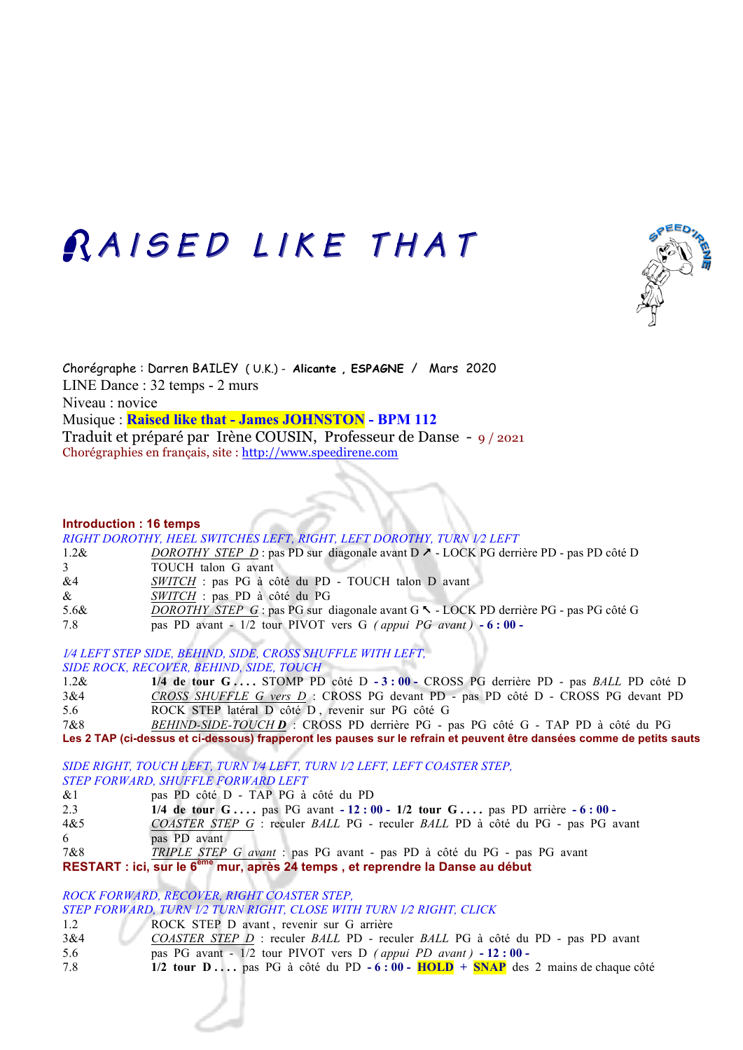# RAISED LIKE THAT



Chorégraphe : Darren BAILEY ( U.K.) - **Alicante , ESPAGNE** / Mars 2020 LINE Dance : 32 temps - 2 murs Niveau : novice Musique : **Raised like that - James JOHNSTON - BPM 112** Traduit et préparé par Irène COUSIN, Professeur de Danse - 9 / 2021 Chorégraphies en français, site : http://www.speedirene.com

#### **Introduction : 16 temps**

*RIGHT DOROTHY, HEEL SWITCHES LEFT, RIGHT, LEFT DOROTHY, TURN 1/2 LEFT* 1.2& *DOROTHY STEP D* : pas PD sur diagonale avant D  $\geq$  - LOCK PG derrière PD - pas PD côté D 3 TOUCH talon G avant &4 *SWITCH* : pas PG à côté du PD - TOUCH talon D avant & *SWITCH* : pas PD à côté du PG 5.6& *DOROTHY STEP G* : pas PG sur diagonale avant G % - LOCK PD derrière PG - pas PG côté G 7.8 pas PD avant - 1/2 tour PIVOT vers G *( appui PG avant )* **- 6 : 00 -**  *1⁄4 LEFT STEP SIDE, BEHIND, SIDE, CROSS SHUFFLE WITH LEFT,* 

*SIDE ROCK, RECOVER, BEHIND, SIDE, TOUCH*

- 1.2& **1/4 de tour G . . . .** STOMP PD côté D **- 3 : 00** CROSS PG derrière PD pas *BALL* PD côté D 3&4 *CROSS SHUFFLE G vers D* :CROSS PG devant PD - pas PD côté D - CROSS PG devant PD 5.6 ROCK STEP latéral D côté D , revenir sur PG côté G
- 7&8 *BEHIND-SIDE-TOUCH D* : CROSS PD derrière PG pas PG côté G TAP PD à côté du PG **Les 2 TAP (ci-dessus et ci-dessous) frapperont les pauses sur le refrain et peuvent être dansées comme de petits sauts**

*SIDE RIGHT, TOUCH LEFT, TURN 1⁄4 LEFT, TURN 1⁄2 LEFT, LEFT COASTER STEP, STEP FORWARD, SHUFFLE FORWARD LEFT*

- &1 pas PD côté D TAP PG à côté du PD
- 2.3 **1/4 de tour G . . . .** pas PG avant **- 12 : 00 1/2 tour G . . . .** pas PD arrière **- 6 : 00**

4&5 *COASTER STEP G* : reculer *BALL* PG - reculer *BALL* PD à côté du PG - pas PG avant 6 pas PD avant

7&8 *TRIPLE STEP G avant* : pas PG avant - pas PD à côté du PG - pas PG avant

**RESTART : ici, sur le 6ème mur, après 24 temps , et reprendre la Danse au début**

*ROCK FORWARD, RECOVER, RIGHT COASTER STEP,* 

*STEP FORWARD, TURN 1⁄2 TURN RIGHT, CLOSE WITH TURN 1⁄2 RIGHT, CLICK*

- 1.2 ROCK STEP D avant , revenir sur G arrière
- 3&4 *COASTER STEP D* : reculer *BALL* PD reculer *BALL* PG à côté du PD pas PD avant
- 5.6 pas PG avant 1/2 tour PIVOT vers D *( appui PD avant )* **- 12 : 00**
- 7.8 **1/2 tour D . . . .** pas PG à côté du PD **- 6 : 00 HOLD + SNAP** des 2 mains de chaque côté